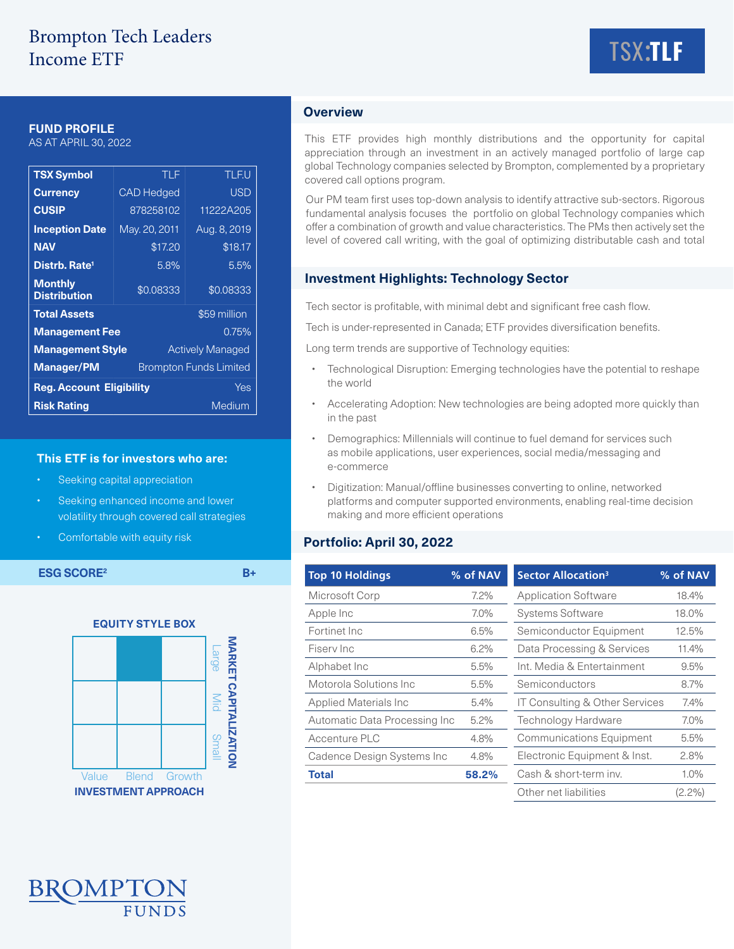# Brompton Tech Leaders Income ETF



### **FUND PROFILE**

AS AT APRIL 30, 2022

| <b>TSX Symbol</b>                                  | TLF               | <b>TLF.U</b> |  |  |
|----------------------------------------------------|-------------------|--------------|--|--|
| <b>Currency</b>                                    | <b>CAD Hedged</b> | <b>USD</b>   |  |  |
| <b>CUSIP</b>                                       | 878258102         | 11222A205    |  |  |
| <b>Inception Date</b>                              | May. 20, 2011     | Aug. 8, 2019 |  |  |
| <b>NAV</b>                                         | \$17.20           | \$18.17      |  |  |
| Distrb. Rate <sup>1</sup>                          | 5.8%              | 5.5%         |  |  |
| <b>Monthly</b><br><b>Distribution</b>              | \$0.08333         | \$0.08333    |  |  |
| <b>Total Assets</b>                                |                   | \$59 million |  |  |
| <b>Management Fee</b><br>0.75%                     |                   |              |  |  |
| <b>Management Style</b><br><b>Actively Managed</b> |                   |              |  |  |
| <b>Manager/PM</b><br><b>Brompton Funds Limited</b> |                   |              |  |  |
| <b>Reg. Account Eligibility</b><br>Yes             |                   |              |  |  |
| Medium<br><b>Risk Rating</b>                       |                   |              |  |  |

#### **This ETF is for investors who are:**

- Seeking capital appreciation
- Seeking enhanced income and lower volatility through covered call strategies
- Comfortable with equity risk



## **Overview**

This ETF provides high monthly distributions and the opportunity for capital appreciation through an investment in an actively managed portfolio of large cap global Technology companies selected by Brompton, complemented by a proprietary covered call options program.

Our PM team first uses top-down analysis to identify attractive sub-sectors. Rigorous fundamental analysis focuses the portfolio on global Technology companies which offer a combination of growth and value characteristics. The PMs then actively set the level of covered call writing, with the goal of optimizing distributable cash and total

### **Investment Highlights: Technology Sector**

Tech sector is profitable, with minimal debt and significant free cash flow.

Tech is under-represented in Canada; ETF provides diversification benefits.

Long term trends are supportive of Technology equities:

- Technological Disruption: Emerging technologies have the potential to reshape the world
- Accelerating Adoption: New technologies are being adopted more quickly than in the past
- Demographics: Millennials will continue to fuel demand for services such as mobile applications, user experiences, social media/messaging and e-commerce
- Digitization: Manual/offline businesses converting to online, networked platforms and computer supported environments, enabling real-time decision making and more efficient operations

### **Portfolio: April 30, 2022**

| <b>ESG SCORE<sup>2</sup></b> |              |        | $B+$                           |                                          | <b>Top 10 Holdings</b>     | % of NAV                   | <b>Sector Allocation<sup>3</sup></b>      | % of NAV  |
|------------------------------|--------------|--------|--------------------------------|------------------------------------------|----------------------------|----------------------------|-------------------------------------------|-----------|
|                              |              |        |                                |                                          | Microsoft Corp             | $7.2\%$                    | <b>Application Software</b>               | 18.4%     |
|                              |              |        |                                |                                          | Apple Inc                  | $7.0\%$                    | <b>Systems Software</b>                   | 18.0%     |
| <b>EQUITY STYLE BOX</b>      |              |        |                                |                                          | Fortinet Inc<br>6.5%       |                            | Semiconductor Equipment                   | 12.5%     |
|                              |              |        | NARKE                          |                                          | Fisery Inc                 | 6.2%                       | Data Processing & Services                | 11.4%     |
|                              |              |        | <b>Large</b>                   |                                          | Alphabet Inc               | 5.5%                       | Int. Media & Entertainment                | 9.5%      |
| ຕ                            |              |        | Motorola Solutions Inc<br>5.5% |                                          | Semiconductors             | 8.7%                       |                                           |           |
|                              |              |        | <b>APIT</b><br>Mid             |                                          | Applied Materials Inc      | 5.4%                       | <b>IT Consulting &amp; Other Services</b> | 7.4%      |
|                              |              |        |                                | Automatic Data Processing Inc<br>$5.2\%$ |                            | <b>Technology Hardware</b> | $7.0\%$                                   |           |
|                              |              |        |                                |                                          | Accenture PLC              | 4.8%                       | <b>Communications Equipment</b>           | 5.5%      |
|                              |              |        | <b>ZATION</b><br><b>Small</b>  |                                          | Cadence Design Systems Inc | 4.8%                       | Electronic Equipment & Inst.              | 2.8%      |
| Value                        | <b>Blend</b> | Growth |                                |                                          | <b>Total</b>               | 58.2%                      | Cash & short-term inv.                    | $1.0\%$   |
| <b>INVESTMENT APPROACH</b>   |              |        |                                |                                          |                            |                            | Other net liabilities                     | $(2.2\%)$ |